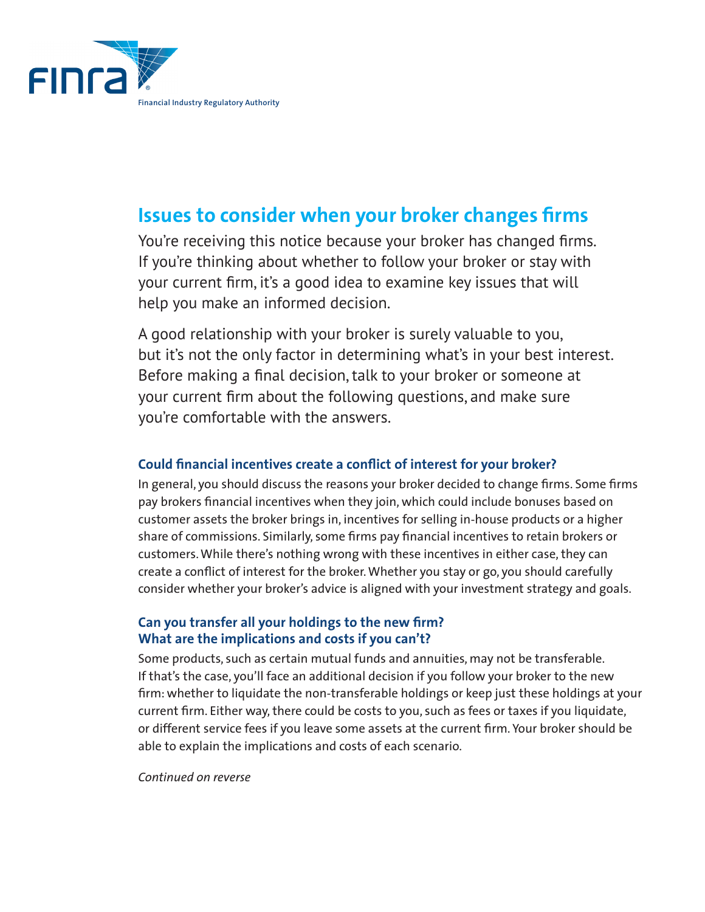

# **Issues to consider when your broker changes firms**

You're receiving this notice because your broker has changed firms. If you're thinking about whether to follow your broker or stay with your current firm, it's a good idea to examine key issues that will help you make an informed decision.

A good relationship with your broker is surely valuable to you, but it's not the only factor in determining what's in your best interest. Before making a final decision, talk to your broker or someone at your current firm about the following questions, and make sure you're comfortable with the answers.

# **Could financial incentives create a conflict of interest for your broker?**

In general, you should discuss the reasons your broker decided to change firms. Some firms pay brokers financial incentives when they join, which could include bonuses based on customer assets the broker brings in, incentives for selling in-house products or a higher share of commissions. Similarly, some firms pay financial incentives to retain brokers or customers. While there's nothing wrong with these incentives in either case, they can create a conflict of interest for the broker. Whether you stay or go, you should carefully consider whether your broker's advice is aligned with your investment strategy and goals.

## **Can you transfer all your holdings to the new firm? What are the implications and costs if you can't?**

Some products, such as certain mutual funds and annuities, may not be transferable. If that's the case, you'll face an additional decision if you follow your broker to the new firm: whether to liquidate the non-transferable holdings or keep just these holdings at your current firm. Either way, there could be costs to you, such as fees or taxes if you liquidate, or different service fees if you leave some assets at the current firm. Your broker should be able to explain the implications and costs of each scenario.

#### *Continued on reverse*